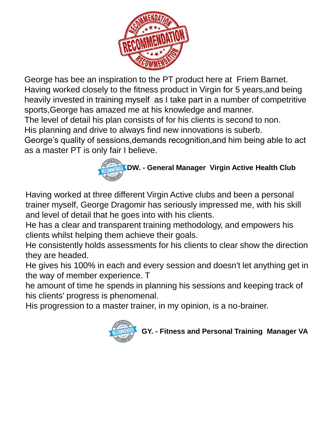

George has bee an inspiration to the PT product here at Friern Barnet. Having worked closely to the fitness product in Virgin for 5 years,and being heavily invested in training myself as I take part in a number of competritive sports,George has amazed me at his knowledge and manner.

The level of detail his plan consists of for his clients is second to non.

His planning and drive to always find new innovations is suberb.

George's quality of sessions,demands recognition,and him being able to act as a master PT is only fair I believe.

## **DW. - General Manager Virgin Active Health Club**

Having worked at three different Virgin Active clubs and been a personal trainer myself, George Dragomir has seriously impressed me, with his skill and level of detail that he goes into with his clients.

He has a clear and transparent training methodology, and empowers his clients whilst helping them achieve their goals.

He consistently holds assessments for his clients to clear show the direction they are headed.

He gives his 100% in each and every session and doesn't let anything get in the way of member experience. T

he amount of time he spends in planning his sessions and keeping track of his clients' progress is phenomenal.

His progression to a master trainer, in my opinion, is a no-brainer.



**GY. - Fitness and Personal Training Manager VA**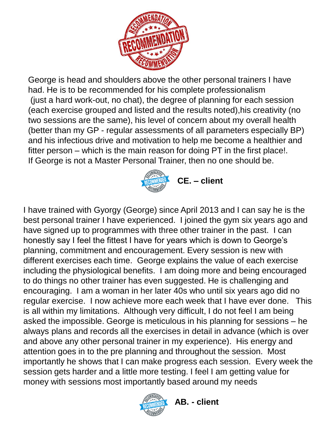

George is head and shoulders above the other personal trainers I have had. He is to be recommended for his complete professionalism (just a hard work-out, no chat), the degree of planning for each session (each exercise grouped and listed and the results noted),his creativity (no two sessions are the same), his level of concern about my overall health (better than my GP - regular assessments of all parameters especially BP) and his infectious drive and motivation to help me become a healthier and fitter person – which is the main reason for doing PT in the first place!. If George is not a Master Personal Trainer, then no one should be.



I have trained with Gyorgy (George) since April 2013 and I can say he is the best personal trainer I have experienced. I joined the gym six years ago and have signed up to programmes with three other trainer in the past. I can honestly say I feel the fittest I have for years which is down to George's planning, commitment and encouragement. Every session is new with different exercises each time. George explains the value of each exercise including the physiological benefits. I am doing more and being encouraged to do things no other trainer has even suggested. He is challenging and encouraging. I am a woman in her later 40s who until six years ago did no regular exercise. I now achieve more each week that I have ever done. This is all within my limitations. Although very difficult, I do not feel I am being asked the impossible. George is meticulous in his planning for sessions – he always plans and records all the exercises in detail in advance (which is over and above any other personal trainer in my experience). His energy and attention goes in to the pre planning and throughout the session. Most importantly he shows that I can make progress each session. Every week the session gets harder and a little more testing. I feel I am getting value for money with sessions most importantly based around my needs



 **AB. - client**